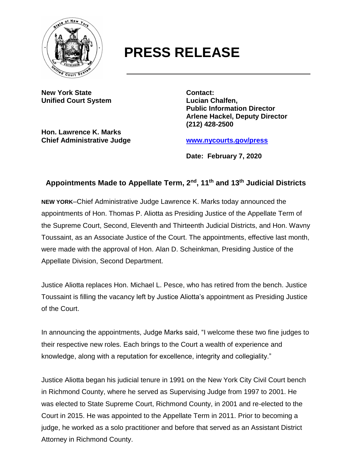

## **PRESS RELEASE**

**New York State Contact: Unified Court System Lucian Chalfen,**

**Hon. Lawrence K. Marks Chief Administrative Judge [www.nycourts.gov/press](http://www.nycourts.gov/press)**

**Public Information Director Arlene Hackel, Deputy Director (212) 428-2500**

**Date: February 7, 2020**

## **Appointments Made to Appellate Term, 2nd, 11th and 13th Judicial Districts**

**NEW YORK**–Chief Administrative Judge Lawrence K. Marks today announced the appointments of Hon. Thomas P. Aliotta as Presiding Justice of the Appellate Term of the Supreme Court, Second, Eleventh and Thirteenth Judicial Districts, and Hon. Wavny Toussaint, as an Associate Justice of the Court. The appointments, effective last month, were made with the approval of Hon. Alan D. Scheinkman, Presiding Justice of the Appellate Division, Second Department.

Justice Aliotta replaces Hon. Michael L. Pesce, who has retired from the bench. Justice Toussaint is filling the vacancy left by Justice Aliotta's appointment as Presiding Justice of the Court.

In announcing the appointments, Judge Marks said, "I welcome these two fine judges to their respective new roles. Each brings to the Court a wealth of experience and knowledge, along with a reputation for excellence, integrity and collegiality."

Justice Aliotta began his judicial tenure in 1991 on the New York City Civil Court bench in Richmond County, where he served as Supervising Judge from 1997 to 2001. He was elected to State Supreme Court, Richmond County, in 2001 and re-elected to the Court in 2015. He was appointed to the Appellate Term in 2011. Prior to becoming a judge, he worked as a solo practitioner and before that served as an Assistant District Attorney in Richmond County.